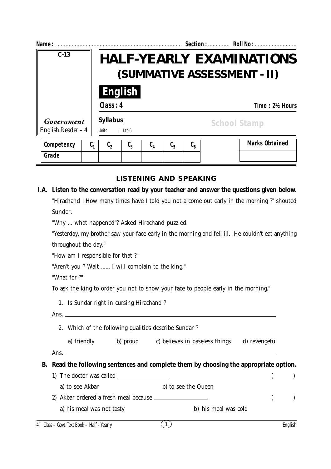| Name:                             |                                                                |                |         |         |                         |  | Section:  Roll No :   |  |  |  |
|-----------------------------------|----------------------------------------------------------------|----------------|---------|---------|-------------------------|--|-----------------------|--|--|--|
| $C-13$                            | <b>HALF-YEARLY EXAMINATIONS</b><br>(SUMMATIVE ASSESSMENT - II) |                |         |         |                         |  |                       |  |  |  |
|                                   |                                                                | <b>English</b> |         |         |                         |  |                       |  |  |  |
|                                   | Class: 4<br>Time: 2½ Hours                                     |                |         |         |                         |  |                       |  |  |  |
| Government<br>English Reader $-4$ | <b>Syllabus</b><br><b>Units</b>                                | : 1 to 6       |         |         |                         |  | <b>School Stamp</b>   |  |  |  |
| Competency<br>$\mathfrak{c}_1$    | $\mathfrak{c}_2$                                               | $C_3$          | $C_{4}$ | $C_{5}$ | $\mathfrak{c}_{\kappa}$ |  | <b>Marks Obtained</b> |  |  |  |
| Grade                             |                                                                |                |         |         |                         |  |                       |  |  |  |

## **LISTENING AND SPEAKING**

## **I.A. Listen to the conversation read by your teacher and answer the questions given below.** "Hirachand ! How many times have I told you not a come out early in the morning ?" shouted Sunder.

"Why ... what happened"? Asked Hirachand puzzled.

"Yesterday, my brother saw your face early in the morning and fell ill. He couldn't eat anything throughout the day."

"How am I responsible for that ?"

"Aren't you ? Wait ...... I will complain to the king."

"What for ?"

To ask the king to order you not to show your face to people early in the morning."

|  |  | 1. Is Sundar right in cursing Hirachand? |  |  |
|--|--|------------------------------------------|--|--|
|  |  |                                          |  |  |

- Ans.
	- 2. Which of the following qualities describe Sundar ?

a) friendly b) proud c) believes in baseless things d) revengeful

Ans.

## **B. Read the following sentences and complete them by choosing the appropriate option.**

- 1) The doctor was called  $\qquad \qquad$  ( )
	- a) to see Akbar b) to see the Queen
- 2) Akbar ordered a fresh meal because ( ) a) his meal was not tasty b) his meal was cold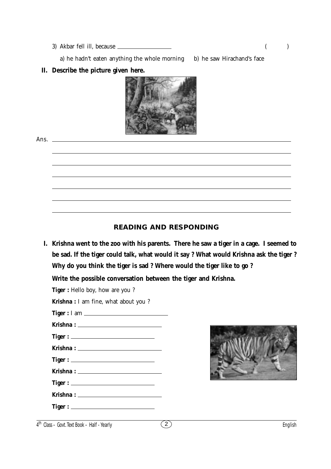3) Akbar fell ill, because ( )

a) he hadn't eaten anything the whole morning b) he saw Hirachand's face

## **II. Describe the picture given here.**



## **READING AND RESPONDING**

**I. Krishna went to the zoo with his parents. There he saw a tiger in a cage. I seemed to be sad. If the tiger could talk, what would it say ? What would Krishna ask the tiger ? Why do you think the tiger is sad ? Where would the tiger like to go ?**

 $\overline{(2)}$ 

**Write the possible conversation between the tiger and Krishna.**

**Tiger :** Hello boy, how are you ? **Krishna :** I am fine, what about you ? **Tiger :** I am **Krishna : Tiger : Krishna : Tiger : Krishna : Tiger : Krishna : Tiger :**



| $4th$ Class - Govt. Text Book - Half - Yearly |  |  |  | English |
|-----------------------------------------------|--|--|--|---------|
|-----------------------------------------------|--|--|--|---------|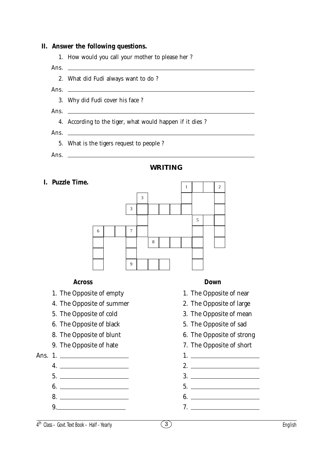#### **II. Answer the following questions.**

- 1. How would you call your mother to please her ? Ans.  $\equiv$ 2. What did Fudi always want to do ? Ans.
	- 3. Why did Fudi cover his face ?
- Ans.  $\Box$ 
	- 4. According to the tiger, what would happen if it dies ?
- Ans.  $\overline{\phantom{0}}$ 
	- 5. What is the tigers request to people ?
- Ans. \_

#### **WRITING**

**I. Puzzle Time.**



#### **Across Down**

- 1. The Opposite of empty 1. The Opposite of near
- 4. The Opposite of summer 2. The Opposite of large
- 
- 6. The Opposite of black 5. The Opposite of sad
- 
- 



- - 4. 2.
	-
- 
- 
- 
- 
- 
- 5. The Opposite of cold 3. The Opposite of mean
	-
- 8. The Opposite of blunt 6. The Opposite of strong
- 9. The Opposite of hate 7. The Opposite of short
- Ans. 1. 1.
	-
	- $5.$   $3.$
	- $6.$  5.
	- 8. 6.
	- 9. 7.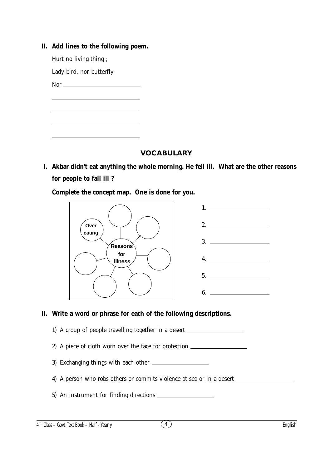| <i>had mics to the following poem.</i>                                                                                                                                                                                                                                                                                                              |  |
|-----------------------------------------------------------------------------------------------------------------------------------------------------------------------------------------------------------------------------------------------------------------------------------------------------------------------------------------------------|--|
| Hurt no living thing;                                                                                                                                                                                                                                                                                                                               |  |
| Lady bird, nor butterfly                                                                                                                                                                                                                                                                                                                            |  |
| Nor $\qquad \qquad$ Nor $\qquad \qquad$ Nor $\qquad \qquad$ Nor $\qquad \qquad$ Nor $\qquad \qquad$ Nor $\qquad \qquad$ Nor $\qquad \qquad$ Nor $\qquad \qquad$ Nor $\qquad \qquad$ Nor $\qquad \qquad$ Nor $\qquad \qquad$ Nor $\qquad \qquad$ Nor $\qquad \qquad$ Nor $\qquad \qquad$ Nor $\qquad \qquad$ Nor $\qquad \qquad$ Nor $\qquad \qquad$ |  |
|                                                                                                                                                                                                                                                                                                                                                     |  |
|                                                                                                                                                                                                                                                                                                                                                     |  |
|                                                                                                                                                                                                                                                                                                                                                     |  |
|                                                                                                                                                                                                                                                                                                                                                     |  |
|                                                                                                                                                                                                                                                                                                                                                     |  |

# **II. Add lines to the following poem.**

**VOCABULARY**

**I. Akbar didn't eat anything the whole morning. He fell ill. What are the other reasons for people to fall ill ?**

**Complete the concept map. One is done for you.**



## **II. Write a word or phrase for each of the following descriptions.**

- 1) A group of people travelling together in a desert
- 2) A piece of cloth worn over the face for protection
- 3) Exchanging things with each other
- 4) A person who robs others or commits violence at sea or in a desert
- 5) An instrument for finding directions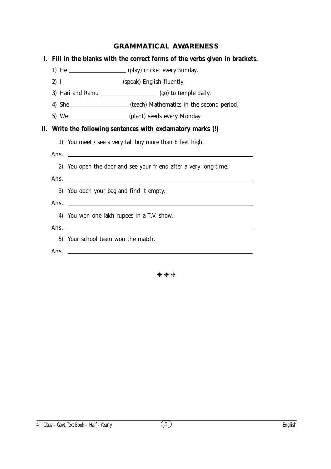## **GRAMMATICAL AWARENESS**

| L. | Fill in the blanks with the correct forms of the verbs given in brackets.                                                      |
|----|--------------------------------------------------------------------------------------------------------------------------------|
|    | 1) He ____________________ (play) cricket every Sunday.                                                                        |
|    | 2) I _____________________ (speak) English fluently.                                                                           |
|    | 3) Hari and Ramu ____________________ (go) to temple daily.                                                                    |
|    | 4) She ______________________ (teach) Mathematics in the second period.                                                        |
|    | 5) We ___________________ (plant) seeds every Monday.                                                                          |
| П. | Write the following sentences with exclamatory marks (!)                                                                       |
|    | 1) You meet / see a very tall boy more than 8 feet high.                                                                       |
|    | Ans.<br><u> 1980 - Andrea Andrew Maria (h. 1980).</u>                                                                          |
|    | You open the door and see your friend after a very long time.<br>2)                                                            |
|    | Ans.<br><u> 1989 - Johann Barn, mars ann an t-Amhainn an t-Amhainn an t-Amhainn an t-Amhainn an t-Amhainn an t-Amhainn an </u> |
|    | 3) You open your bag and find it empty.                                                                                        |
|    | Ans.<br><u> 1989 - Johann Stoff, amerikansk politiker (* 1908)</u>                                                             |
|    | You won one lakh rupees in a T.V. show.<br>4)                                                                                  |
|    | Ans.<br><u> 1989 - Johann Barn, fransk politik formuler (d. 1989)</u>                                                          |
|    | 5) Your school team won the match.                                                                                             |
|    | Ans.<br><u> 1989 - Johann Stoff, amerikansk politiker (d. 1989)</u>                                                            |
|    |                                                                                                                                |

\*\*\*